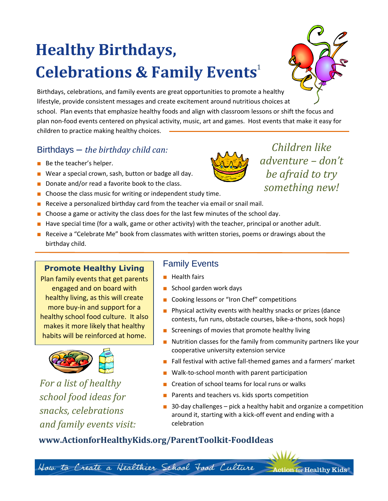# **Healthy Birthdays, Celebrations & Family Events** 1



Birthdays, celebrations, and family events are great opportunities to promote a healthy lifestyle, provide consistent messages and create excitement around nutritious choices at school. Plan events that emphasize healthy foods and align with classroom lessons or shift the focus and plan non-food events centered on physical activity, music, art and games. Host events that make it easy for children to practice making healthy choices.

## Birthdays – *the birthday child can:*

- Be the teacher's helper.
- Wear a special crown, sash, button or badge all day.
- Donate and/or read a favorite book to the class.
- Choose the class music for writing or independent study time.
- Receive a personalized birthday card from the teacher via email or snail mail.
- Choose a game or activity the class does for the last few minutes of the school day.
- Have special time (for a walk, game or other activity) with the teacher, principal or another adult.
- Receive a "Celebrate Me" book from classmates with written stories, poems or drawings about the birthday child.

#### **Promote Healthy Living**

Plan family events that get parents engaged and on board with healthy living, as this will create more buy-in and support for a healthy school food culture. It also makes it more likely that healthy habits will be reinforced at home.



*For a list of healthy school food ideas for snacks, celebrations and family events visit:*

### Family Events

- Health fairs
- School garden work days
- Cooking lessons or "Iron Chef" competitions
- Physical activity events with healthy snacks or prizes (dance contests, fun runs, obstacle courses, bike-a-thons, sock hops)
- Screenings of movies that promote healthy living
- Nutrition classes for the family from community partners like your cooperative university extension service
- Fall festival with active fall-themed games and a farmers' market
- Walk-to-school month with parent participation
- Creation of school teams for local runs or walks
- Parents and teachers vs. kids sports competition
- 30-day challenges pick a healthy habit and organize a competition around it, starting with a kick-off event and ending with a celebration

ion for Healthy Kids®

### **www.ActionforHealthyKids.org/ParentToolkit-FoodIdeas**

How to Create a Healthier School Food Culture



*Children like adventure – don't be afraid to try something new!*